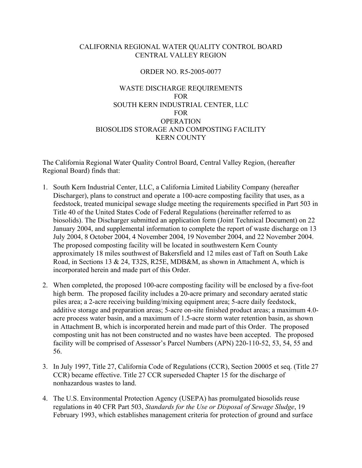# CALIFORNIA REGIONAL WATER QUALITY CONTROL BOARD CENTRAL VALLEY REGION

## ORDER NO. R5-2005-0077

# WASTE DISCHARGE REQUIREMENTS FOR SOUTH KERN INDUSTRIAL CENTER, LLC FOR **OPERATION** BIOSOLIDS STORAGE AND COMPOSTING FACILITY KERN COUNTY

The California Regional Water Quality Control Board, Central Valley Region, (hereafter Regional Board) finds that:

- 1. South Kern Industrial Center, LLC, a California Limited Liability Company (hereafter Discharger), plans to construct and operate a 100-acre composting facility that uses, as a feedstock, treated municipal sewage sludge meeting the requirements specified in Part 503 in Title 40 of the United States Code of Federal Regulations (hereinafter referred to as biosolids). The Discharger submitted an application form (Joint Technical Document) on 22 January 2004, and supplemental information to complete the report of waste discharge on 13 July 2004, 8 October 2004, 4 November 2004, 19 November 2004, and 22 November 2004. The proposed composting facility will be located in southwestern Kern County approximately 18 miles southwest of Bakersfield and 12 miles east of Taft on South Lake Road, in Sections 13 & 24, T32S, R25E, MDB&M, as shown in Attachment A, which is incorporated herein and made part of this Order.
- 2. When completed, the proposed 100-acre composting facility will be enclosed by a five-foot high berm. The proposed facility includes a 20-acre primary and secondary aerated static piles area; a 2-acre receiving building/mixing equipment area; 5-acre daily feedstock, additive storage and preparation areas; 5-acre on-site finished product areas; a maximum 4.0 acre process water basin, and a maximum of 1.5-acre storm water retention basin, as shown in Attachment B, which is incorporated herein and made part of this Order. The proposed composting unit has not been constructed and no wastes have been accepted. The proposed facility will be comprised of Assessor's Parcel Numbers (APN) 220-110-52, 53, 54, 55 and 56.
- 3. In July 1997, Title 27, California Code of Regulations (CCR), Section 20005 et seq. (Title 27 CCR) became effective. Title 27 CCR superseded Chapter 15 for the discharge of nonhazardous wastes to land.
- 4. The U.S. Environmental Protection Agency (USEPA) has promulgated biosolids reuse regulations in 40 CFR Part 503, *Standards for the Use or Disposal of Sewage Sludge*, 19 February 1993, which establishes management criteria for protection of ground and surface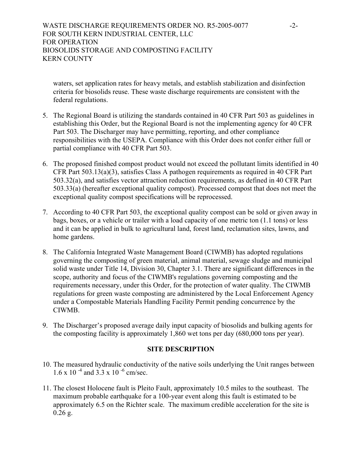waters, set application rates for heavy metals, and establish stabilization and disinfection criteria for biosolids reuse. These waste discharge requirements are consistent with the federal regulations.

- 5. The Regional Board is utilizing the standards contained in 40 CFR Part 503 as guidelines in establishing this Order, but the Regional Board is not the implementing agency for 40 CFR Part 503. The Discharger may have permitting, reporting, and other compliance responsibilities with the USEPA. Compliance with this Order does not confer either full or partial compliance with 40 CFR Part 503.
- 6. The proposed finished compost product would not exceed the pollutant limits identified in 40 CFR Part 503.13(a)(3), satisfies Class A pathogen requirements as required in 40 CFR Part 503.32(a), and satisfies vector attraction reduction requirements, as defined in 40 CFR Part 503.33(a) (hereafter exceptional quality compost). Processed compost that does not meet the exceptional quality compost specifications will be reprocessed.
- 7. According to 40 CFR Part 503, the exceptional quality compost can be sold or given away in bags, boxes, or a vehicle or trailer with a load capacity of one metric ton (1.1 tons) or less and it can be applied in bulk to agricultural land, forest land, reclamation sites, lawns, and home gardens.
- 8. The California Integrated Waste Management Board (CIWMB) has adopted regulations governing the composting of green material, animal material, sewage sludge and municipal solid waste under Title 14, Division 30, Chapter 3.1. There are significant differences in the scope, authority and focus of the CIWMB's regulations governing composting and the requirements necessary, under this Order, for the protection of water quality. The CIWMB regulations for green waste composting are administered by the Local Enforcement Agency under a Compostable Materials Handling Facility Permit pending concurrence by the CIWMB.
- 9. The Discharger's proposed average daily input capacity of biosolids and bulking agents for the composting facility is approximately 1,860 wet tons per day (680,000 tons per year).

### **SITE DESCRIPTION**

- 10. The measured hydraulic conductivity of the native soils underlying the Unit ranges between  $1.6 \times 10^{-4}$  and  $3.3 \times 10^{-6}$  cm/sec.
- 11. The closest Holocene fault is Pleito Fault, approximately 10.5 miles to the southeast. The maximum probable earthquake for a 100-year event along this fault is estimated to be approximately 6.5 on the Richter scale. The maximum credible acceleration for the site is 0.26 g.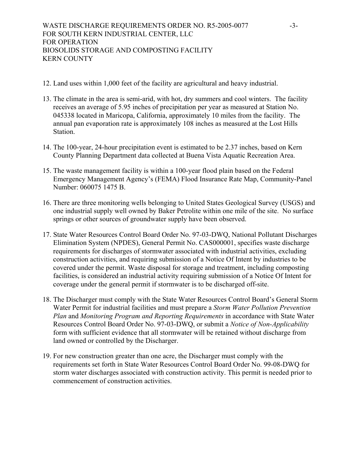- 12. Land uses within 1,000 feet of the facility are agricultural and heavy industrial.
- 13. The climate in the area is semi-arid, with hot, dry summers and cool winters. The facility receives an average of 5.95 inches of precipitation per year as measured at Station No. 045338 located in Maricopa, California, approximately 10 miles from the facility. The annual pan evaporation rate is approximately 108 inches as measured at the Lost Hills Station.
- 14. The 100-year, 24-hour precipitation event is estimated to be 2.37 inches, based on Kern County Planning Department data collected at Buena Vista Aquatic Recreation Area.
- 15. The waste management facility is within a 100-year flood plain based on the Federal Emergency Management Agency's (FEMA) Flood Insurance Rate Map, Community-Panel Number: 060075 1475 B.
- 16. There are three monitoring wells belonging to United States Geological Survey (USGS) and one industrial supply well owned by Baker Petrolite within one mile of the site. No surface springs or other sources of groundwater supply have been observed.
- 17. State Water Resources Control Board Order No. 97-03-DWQ, National Pollutant Discharges Elimination System (NPDES), General Permit No. CAS000001, specifies waste discharge requirements for discharges of stormwater associated with industrial activities, excluding construction activities, and requiring submission of a Notice Of Intent by industries to be covered under the permit. Waste disposal for storage and treatment, including composting facilities, is considered an industrial activity requiring submission of a Notice Of Intent for coverage under the general permit if stormwater is to be discharged off-site.
- 18. The Discharger must comply with the State Water Resources Control Board's General Storm Water Permit for industrial facilities and must prepare a *Storm Water Pollution Prevention Plan* and *Monitoring Program and Reporting Requirements* in accordance with State Water Resources Control Board Order No. 97-03-DWQ, or submit a *Notice of Non-Applicability*  form with sufficient evidence that all stormwater will be retained without discharge from land owned or controlled by the Discharger.
- 19. For new construction greater than one acre, the Discharger must comply with the requirements set forth in State Water Resources Control Board Order No. 99-08-DWQ for storm water discharges associated with construction activity. This permit is needed prior to commencement of construction activities.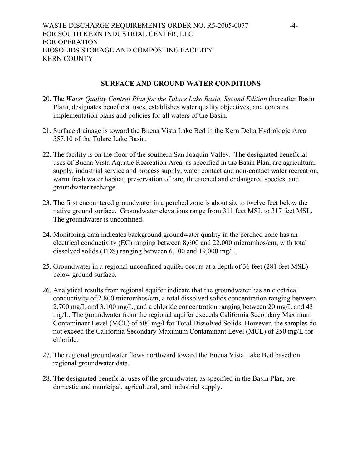### **SURFACE AND GROUND WATER CONDITIONS**

- 20. The *Water Quality Control Plan for the Tulare Lake Basin, Second Edition* (hereafter Basin Plan), designates beneficial uses, establishes water quality objectives, and contains implementation plans and policies for all waters of the Basin.
- 21. Surface drainage is toward the Buena Vista Lake Bed in the Kern Delta Hydrologic Area 557.10 of the Tulare Lake Basin.
- 22. The facility is on the floor of the southern San Joaquin Valley. The designated beneficial uses of Buena Vista Aquatic Recreation Area, as specified in the Basin Plan, are agricultural supply, industrial service and process supply, water contact and non-contact water recreation, warm fresh water habitat, preservation of rare, threatened and endangered species, and groundwater recharge.
- 23. The first encountered groundwater in a perched zone is about six to twelve feet below the native ground surface. Groundwater elevations range from 311 feet MSL to 317 feet MSL. The groundwater is unconfined.
- 24. Monitoring data indicates background groundwater quality in the perched zone has an electrical conductivity (EC) ranging between 8,600 and 22,000 micromhos/cm, with total dissolved solids (TDS) ranging between 6,100 and 19,000 mg/L.
- 25. Groundwater in a regional unconfined aquifer occurs at a depth of 36 feet (281 feet MSL) below ground surface.
- 26. Analytical results from regional aquifer indicate that the groundwater has an electrical conductivity of 2,800 micromhos/cm, a total dissolved solids concentration ranging between 2,700 mg/L and 3,100 mg/L, and a chloride concentration ranging between 20 mg/L and 43 mg/L. The groundwater from the regional aquifer exceeds California Secondary Maximum Contaminant Level (MCL) of 500 mg/l for Total Dissolved Solids. However, the samples do not exceed the California Secondary Maximum Contaminant Level (MCL) of 250 mg/L for chloride.
- 27. The regional groundwater flows northward toward the Buena Vista Lake Bed based on regional groundwater data.
- 28. The designated beneficial uses of the groundwater, as specified in the Basin Plan, are domestic and municipal, agricultural, and industrial supply.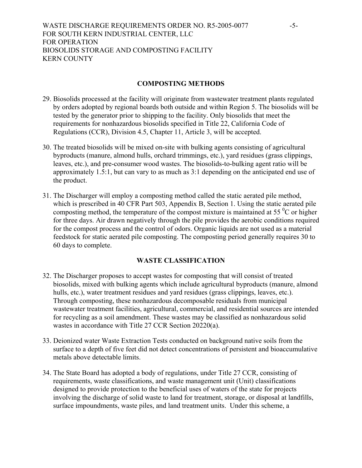### **COMPOSTING METHODS**

- 29. Biosolids processed at the facility will originate from wastewater treatment plants regulated by orders adopted by regional boards both outside and within Region 5. The biosolids will be tested by the generator prior to shipping to the facility. Only biosolids that meet the requirements for nonhazardous biosolids specified in Title 22, California Code of Regulations (CCR), Division 4.5, Chapter 11, Article 3, will be accepted.
- 30. The treated biosolids will be mixed on-site with bulking agents consisting of agricultural byproducts (manure, almond hulls, orchard trimmings, etc.), yard residues (grass clippings, leaves, etc.), and pre-consumer wood wastes. The biosolids-to-bulking agent ratio will be approximately 1.5:1, but can vary to as much as 3:1 depending on the anticipated end use of the product.
- 31. The Discharger will employ a composting method called the static aerated pile method, which is prescribed in 40 CFR Part 503, Appendix B, Section 1. Using the static aerated pile composting method, the temperature of the compost mixture is maintained at 55 $\mathrm{^{0}C}$  or higher for three days. Air drawn negatively through the pile provides the aerobic conditions required for the compost process and the control of odors. Organic liquids are not used as a material feedstock for static aerated pile composting. The composting period generally requires 30 to 60 days to complete.

# **WASTE CLASSIFICATION**

- 32. The Discharger proposes to accept wastes for composting that will consist of treated biosolids, mixed with bulking agents which include agricultural byproducts (manure, almond hulls, etc.), water treatment residues and yard residues (grass clippings, leaves, etc.). Through composting, these nonhazardous decomposable residuals from municipal wastewater treatment facilities, agricultural, commercial, and residential sources are intended for recycling as a soil amendment. These wastes may be classified as nonhazardous solid wastes in accordance with Title 27 CCR Section 20220(a).
- 33. Deionized water Waste Extraction Tests conducted on background native soils from the surface to a depth of five feet did not detect concentrations of persistent and bioaccumulative metals above detectable limits.
- 34. The State Board has adopted a body of regulations, under Title 27 CCR, consisting of requirements, waste classifications, and waste management unit (Unit) classifications designed to provide protection to the beneficial uses of waters of the state for projects involving the discharge of solid waste to land for treatment, storage, or disposal at landfills, surface impoundments, waste piles, and land treatment units. Under this scheme, a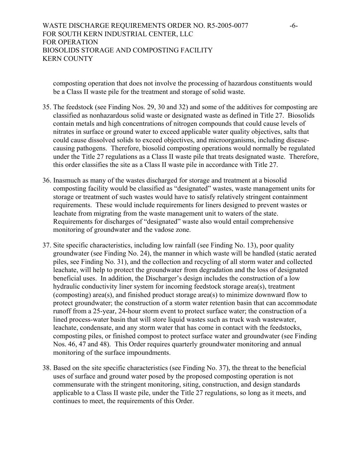composting operation that does not involve the processing of hazardous constituents would be a Class II waste pile for the treatment and storage of solid waste.

- 35. The feedstock (see Finding Nos. 29, 30 and 32) and some of the additives for composting are classified as nonhazardous solid waste or designated waste as defined in Title 27. Biosolids contain metals and high concentrations of nitrogen compounds that could cause levels of nitrates in surface or ground water to exceed applicable water quality objectives, salts that could cause dissolved solids to exceed objectives, and microorganisms, including diseasecausing pathogens. Therefore, biosolid composting operations would normally be regulated under the Title 27 regulations as a Class II waste pile that treats designated waste. Therefore, this order classifies the site as a Class II waste pile in accordance with Title 27.
- 36. Inasmuch as many of the wastes discharged for storage and treatment at a biosolid composting facility would be classified as "designated" wastes, waste management units for storage or treatment of such wastes would have to satisfy relatively stringent containment requirements. These would include requirements for liners designed to prevent wastes or leachate from migrating from the waste management unit to waters of the state. Requirements for discharges of "designated" waste also would entail comprehensive monitoring of groundwater and the vadose zone.
- 37. Site specific characteristics, including low rainfall (see Finding No. 13), poor quality groundwater (see Finding No. 24), the manner in which waste will be handled (static aerated piles, see Finding No. 31), and the collection and recycling of all storm water and collected leachate, will help to protect the groundwater from degradation and the loss of designated beneficial uses. In addition, the Discharger's design includes the construction of a low hydraulic conductivity liner system for incoming feedstock storage area(s), treatment (composting) area(s), and finished product storage area(s) to minimize downward flow to protect groundwater; the construction of a storm water retention basin that can accommodate runoff from a 25-year, 24-hour storm event to protect surface water; the construction of a lined process-water basin that will store liquid wastes such as truck wash wastewater, leachate, condensate, and any storm water that has come in contact with the feedstocks, composting piles, or finished compost to protect surface water and groundwater (see Finding Nos. 46, 47 and 48). This Order requires quarterly groundwater monitoring and annual monitoring of the surface impoundments.
- 38. Based on the site specific characteristics (see Finding No. 37), the threat to the beneficial uses of surface and ground water posed by the proposed composting operation is not commensurate with the stringent monitoring, siting, construction, and design standards applicable to a Class II waste pile, under the Title 27 regulations, so long as it meets, and continues to meet, the requirements of this Order.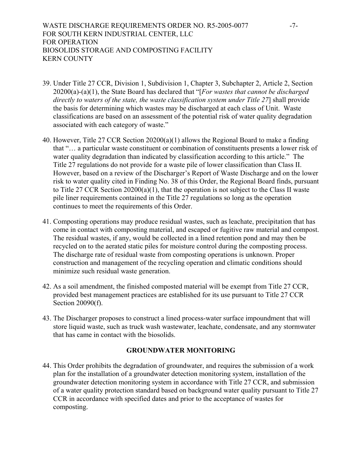# WASTE DISCHARGE REQUIREMENTS ORDER NO. R5-2005-0077 -7-FOR SOUTH KERN INDUSTRIAL CENTER, LLC FOR OPERATION BIOSOLIDS STORAGE AND COMPOSTING FACILITY KERN COUNTY

- 39. Under Title 27 CCR, Division 1, Subdivision 1, Chapter 3, Subchapter 2, Article 2, Section 20200(a)-(a)(1), the State Board has declared that "[*For wastes that cannot be discharged directly to waters of the state, the waste classification system under Title 27*] shall provide the basis for determining which wastes may be discharged at each class of Unit. Waste classifications are based on an assessment of the potential risk of water quality degradation associated with each category of waste."
- 40. However, Title 27 CCR Section 20200(a)(1) allows the Regional Board to make a finding that "… a particular waste constituent or combination of constituents presents a lower risk of water quality degradation than indicated by classification according to this article." The Title 27 regulations do not provide for a waste pile of lower classification than Class II. However, based on a review of the Discharger's Report of Waste Discharge and on the lower risk to water quality cited in Finding No. 38 of this Order, the Regional Board finds, pursuant to Title 27 CCR Section 20200(a)(1), that the operation is not subject to the Class II waste pile liner requirements contained in the Title 27 regulations so long as the operation continues to meet the requirements of this Order.
- 41. Composting operations may produce residual wastes, such as leachate, precipitation that has come in contact with composting material, and escaped or fugitive raw material and compost. The residual wastes, if any, would be collected in a lined retention pond and may then be recycled on to the aerated static piles for moisture control during the composting process. The discharge rate of residual waste from composting operations is unknown. Proper construction and management of the recycling operation and climatic conditions should minimize such residual waste generation.
- 42. As a soil amendment, the finished composted material will be exempt from Title 27 CCR, provided best management practices are established for its use pursuant to Title 27 CCR Section 20090(f).
- 43. The Discharger proposes to construct a lined process-water surface impoundment that will store liquid waste, such as truck wash wastewater, leachate, condensate, and any stormwater that has came in contact with the biosolids.

### **GROUNDWATER MONITORING**

44. This Order prohibits the degradation of groundwater, and requires the submission of a work plan for the installation of a groundwater detection monitoring system, installation of the groundwater detection monitoring system in accordance with Title 27 CCR, and submission of a water quality protection standard based on background water quality pursuant to Title 27 CCR in accordance with specified dates and prior to the acceptance of wastes for composting.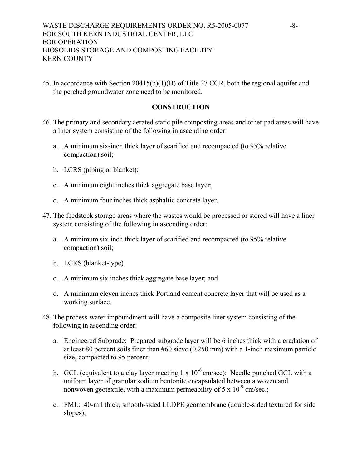45. In accordance with Section 20415(b)(1)(B) of Title 27 CCR, both the regional aquifer and the perched groundwater zone need to be monitored.

### **CONSTRUCTION**

- 46. The primary and secondary aerated static pile composting areas and other pad areas will have a liner system consisting of the following in ascending order:
	- a. A minimum six-inch thick layer of scarified and recompacted (to 95% relative compaction) soil;
	- b. LCRS (piping or blanket);
	- c. A minimum eight inches thick aggregate base layer;
	- d. A minimum four inches thick asphaltic concrete layer.
- 47. The feedstock storage areas where the wastes would be processed or stored will have a liner system consisting of the following in ascending order:
	- a. A minimum six-inch thick layer of scarified and recompacted (to 95% relative compaction) soil;
	- b. LCRS (blanket-type)
	- c. A minimum six inches thick aggregate base layer; and
	- d. A minimum eleven inches thick Portland cement concrete layer that will be used as a working surface.
- 48. The process-water impoundment will have a composite liner system consisting of the following in ascending order:
	- a. Engineered Subgrade: Prepared subgrade layer will be 6 inches thick with a gradation of at least 80 percent soils finer than #60 sieve (0.250 mm) with a 1-inch maximum particle size, compacted to 95 percent;
	- b. GCL (equivalent to a clay layer meeting 1 x  $10^{-6}$  cm/sec): Needle punched GCL with a uniform layer of granular sodium bentonite encapsulated between a woven and nonwoven geotextile, with a maximum permeability of  $5 \times 10^{-9}$  cm/sec.;
	- c. FML: 40-mil thick, smooth-sided LLDPE geomembrane (double-sided textured for side slopes);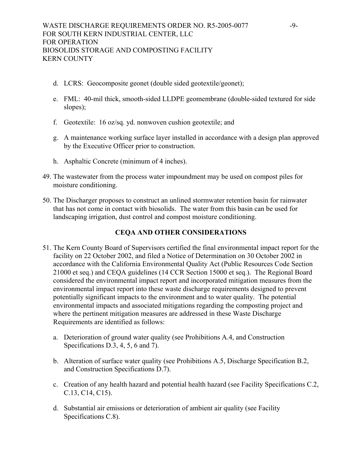- d. LCRS: Geocomposite geonet (double sided geotextile/geonet);
- e. FML: 40-mil thick, smooth-sided LLDPE geomembrane (double-sided textured for side slopes);
- f. Geotextile: 16 oz/sq. yd. nonwoven cushion geotextile; and
- g. A maintenance working surface layer installed in accordance with a design plan approved by the Executive Officer prior to construction.
- h. Asphaltic Concrete (minimum of 4 inches).
- 49. The wastewater from the process water impoundment may be used on compost piles for moisture conditioning.
- 50. The Discharger proposes to construct an unlined stormwater retention basin for rainwater that has not come in contact with biosolids. The water from this basin can be used for landscaping irrigation, dust control and compost moisture conditioning.

# **CEQA AND OTHER CONSIDERATIONS**

- 51. The Kern County Board of Supervisors certified the final environmental impact report for the facility on 22 October 2002, and filed a Notice of Determination on 30 October 2002 in accordance with the California Environmental Quality Act (Public Resources Code Section 21000 et seq.) and CEQA guidelines (14 CCR Section 15000 et seq.). The Regional Board considered the environmental impact report and incorporated mitigation measures from the environmental impact report into these waste discharge requirements designed to prevent potentially significant impacts to the environment and to water quality. The potential environmental impacts and associated mitigations regarding the composting project and where the pertinent mitigation measures are addressed in these Waste Discharge Requirements are identified as follows:
	- a. Deterioration of ground water quality (see Prohibitions A.4, and Construction Specifications D.3, 4, 5, 6 and 7).
	- b. Alteration of surface water quality (see Prohibitions A.5, Discharge Specification B.2, and Construction Specifications D.7).
	- c. Creation of any health hazard and potential health hazard (see Facility Specifications C.2, C.13, C14, C15).
	- d. Substantial air emissions or deterioration of ambient air quality (see Facility Specifications C.8).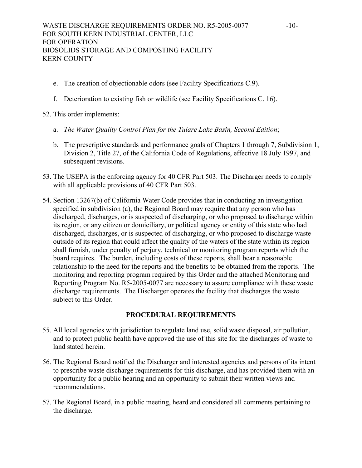- e. The creation of objectionable odors (see Facility Specifications C.9).
- f. Deterioration to existing fish or wildlife (see Facility Specifications C. 16).

52. This order implements:

- a. *The Water Quality Control Plan for the Tulare Lake Basin, Second Edition*;
- b. The prescriptive standards and performance goals of Chapters 1 through 7, Subdivision 1, Division 2, Title 27, of the California Code of Regulations, effective 18 July 1997, and subsequent revisions.
- 53. The USEPA is the enforcing agency for 40 CFR Part 503. The Discharger needs to comply with all applicable provisions of 40 CFR Part 503.
- 54. Section 13267(b) of California Water Code provides that in conducting an investigation specified in subdivision (a), the Regional Board may require that any person who has discharged, discharges, or is suspected of discharging, or who proposed to discharge within its region, or any citizen or domiciliary, or political agency or entity of this state who had discharged, discharges, or is suspected of discharging, or who proposed to discharge waste outside of its region that could affect the quality of the waters of the state within its region shall furnish, under penalty of perjury, technical or monitoring program reports which the board requires. The burden, including costs of these reports, shall bear a reasonable relationship to the need for the reports and the benefits to be obtained from the reports. The monitoring and reporting program required by this Order and the attached Monitoring and Reporting Program No. R5-2005-0077 are necessary to assure compliance with these waste discharge requirements. The Discharger operates the facility that discharges the waste subject to this Order.

# **PROCEDURAL REQUIREMENTS**

- 55. All local agencies with jurisdiction to regulate land use, solid waste disposal, air pollution, and to protect public health have approved the use of this site for the discharges of waste to land stated herein.
- 56. The Regional Board notified the Discharger and interested agencies and persons of its intent to prescribe waste discharge requirements for this discharge, and has provided them with an opportunity for a public hearing and an opportunity to submit their written views and recommendations.
- 57. The Regional Board, in a public meeting, heard and considered all comments pertaining to the discharge.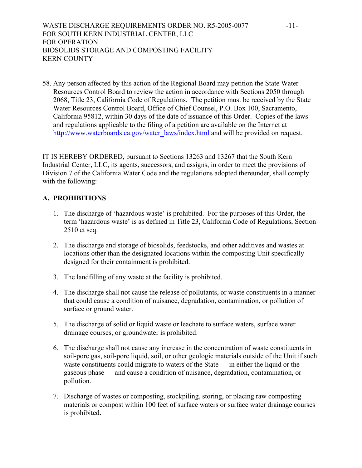WASTE DISCHARGE REQUIREMENTS ORDER NO. R5-2005-0077 -11-FOR SOUTH KERN INDUSTRIAL CENTER, LLC FOR OPERATION BIOSOLIDS STORAGE AND COMPOSTING FACILITY KERN COUNTY

58. Any person affected by this action of the Regional Board may petition the State Water Resources Control Board to review the action in accordance with Sections 2050 through 2068, Title 23, California Code of Regulations. The petition must be received by the State Water Resources Control Board, Office of Chief Counsel, P.O. Box 100, Sacramento, California 95812, within 30 days of the date of issuance of this Order. Copies of the laws and regulations applicable to the filing of a petition are available on the Internet at http://www.waterboards.ca.gov/water\_laws/index.html and will be provided on request.

IT IS HEREBY ORDERED, pursuant to Sections 13263 and 13267 that the South Kern Industrial Center, LLC, its agents, successors, and assigns, in order to meet the provisions of Division 7 of the California Water Code and the regulations adopted thereunder, shall comply with the following:

## **A. PROHIBITIONS**

- 1. The discharge of 'hazardous waste' is prohibited. For the purposes of this Order, the term 'hazardous waste' is as defined in Title 23, California Code of Regulations, Section 2510 et seq.
- 2. The discharge and storage of biosolids, feedstocks, and other additives and wastes at locations other than the designated locations within the composting Unit specifically designed for their containment is prohibited.
- 3. The landfilling of any waste at the facility is prohibited.
- 4. The discharge shall not cause the release of pollutants, or waste constituents in a manner that could cause a condition of nuisance, degradation, contamination, or pollution of surface or ground water.
- 5. The discharge of solid or liquid waste or leachate to surface waters, surface water drainage courses, or groundwater is prohibited.
- 6. The discharge shall not cause any increase in the concentration of waste constituents in soil-pore gas, soil-pore liquid, soil, or other geologic materials outside of the Unit if such waste constituents could migrate to waters of the State — in either the liquid or the gaseous phase — and cause a condition of nuisance, degradation, contamination, or pollution.
- 7. Discharge of wastes or composting, stockpiling, storing, or placing raw composting materials or compost within 100 feet of surface waters or surface water drainage courses is prohibited.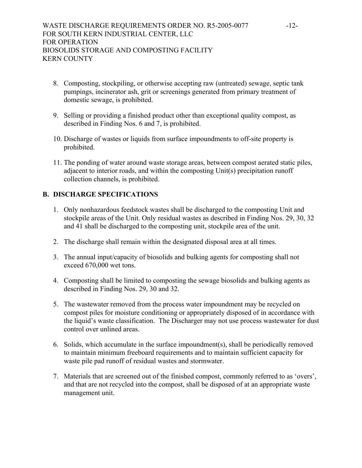- 8. Composting, stockpiling, or otherwise accepting raw (untreated) sewage, septic tank pumpings, incinerator ash, grit or screenings generated from primary treatment of domestic sewage, is prohibited.
- 9. Selling or providing a finished product other than exceptional quality compost, as described in Finding Nos. 6 and 7, is prohibited.
- 10. Discharge of wastes or liquids from surface impoundments to off-site property is prohibited.
- 11. The ponding of water around waste storage areas, between compost aerated static piles, adjacent to interior roads, and within the composting Unit(s) precipitation runoff collection channels, is prohibited.

## **B. DISCHARGE SPECIFICATIONS**

- 1. Only nonhazardous feedstock wastes shall be discharged to the composting Unit and stockpile areas of the Unit. Only residual wastes as described in Finding Nos. 29, 30, 32 and 41 shall be discharged to the composting unit, stockpile area of the unit.
- 2. The discharge shall remain within the designated disposal area at all times.
- 3. The annual input/capacity of biosolids and bulking agents for composting shall not exceed 670,000 wet tons.
- 4. Composting shall be limited to composting the sewage biosolids and bulking agents as described in Finding Nos. 29, 30 and 32.
- 5. The wastewater removed from the process water impoundment may be recycled on compost piles for moisture conditioning or appropriately disposed of in accordance with the liquid's waste classification. The Discharger may not use process wastewater for dust control over unlined areas.
- 6. Solids, which accumulate in the surface impoundment(s), shall be periodically removed to maintain minimum freeboard requirements and to maintain sufficient capacity for waste pile pad runoff of residual wastes and stormwater.
- 7. Materials that are screened out of the finished compost, commonly referred to as 'overs', and that are not recycled into the compost, shall be disposed of at an appropriate waste management unit.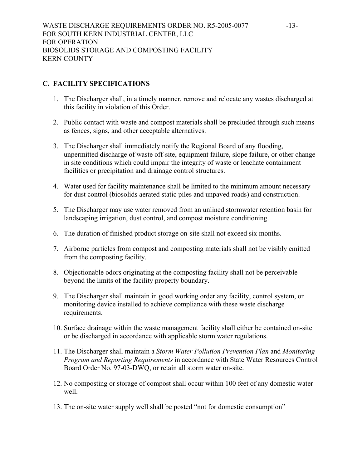# **C. FACILITY SPECIFICATIONS**

- 1. The Discharger shall, in a timely manner, remove and relocate any wastes discharged at this facility in violation of this Order.
- 2. Public contact with waste and compost materials shall be precluded through such means as fences, signs, and other acceptable alternatives.
- 3. The Discharger shall immediately notify the Regional Board of any flooding, unpermitted discharge of waste off-site, equipment failure, slope failure, or other change in site conditions which could impair the integrity of waste or leachate containment facilities or precipitation and drainage control structures.
- 4. Water used for facility maintenance shall be limited to the minimum amount necessary for dust control (biosolids aerated static piles and unpaved roads) and construction.
- 5. The Discharger may use water removed from an unlined stormwater retention basin for landscaping irrigation, dust control, and compost moisture conditioning.
- 6. The duration of finished product storage on-site shall not exceed six months.
- 7. Airborne particles from compost and composting materials shall not be visibly emitted from the composting facility.
- 8. Objectionable odors originating at the composting facility shall not be perceivable beyond the limits of the facility property boundary.
- 9. The Discharger shall maintain in good working order any facility, control system, or monitoring device installed to achieve compliance with these waste discharge requirements.
- 10. Surface drainage within the waste management facility shall either be contained on-site or be discharged in accordance with applicable storm water regulations.
- 11. The Discharger shall maintain a *Storm Water Pollution Prevention Plan* and *Monitoring Program and Reporting Requirements* in accordance with State Water Resources Control Board Order No. 97-03-DWQ, or retain all storm water on-site.
- 12. No composting or storage of compost shall occur within 100 feet of any domestic water well.
- 13. The on-site water supply well shall be posted "not for domestic consumption"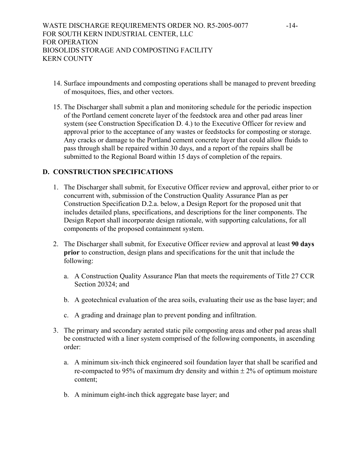- 14. Surface impoundments and composting operations shall be managed to prevent breeding of mosquitoes, flies, and other vectors.
- 15. The Discharger shall submit a plan and monitoring schedule for the periodic inspection of the Portland cement concrete layer of the feedstock area and other pad areas liner system (see Construction Specification D. 4.) to the Executive Officer for review and approval prior to the acceptance of any wastes or feedstocks for composting or storage. Any cracks or damage to the Portland cement concrete layer that could allow fluids to pass through shall be repaired within 30 days, and a report of the repairs shall be submitted to the Regional Board within 15 days of completion of the repairs.

# **D. CONSTRUCTION SPECIFICATIONS**

- 1. The Discharger shall submit, for Executive Officer review and approval, either prior to or concurrent with, submission of the Construction Quality Assurance Plan as per Construction Specification D.2.a. below, a Design Report for the proposed unit that includes detailed plans, specifications, and descriptions for the liner components. The Design Report shall incorporate design rationale, with supporting calculations, for all components of the proposed containment system.
- 2. The Discharger shall submit, for Executive Officer review and approval at least **90 days prior** to construction, design plans and specifications for the unit that include the following:
	- a. A Construction Quality Assurance Plan that meets the requirements of Title 27 CCR Section 20324; and
	- b. A geotechnical evaluation of the area soils, evaluating their use as the base layer; and
	- c. A grading and drainage plan to prevent ponding and infiltration.
- 3. The primary and secondary aerated static pile composting areas and other pad areas shall be constructed with a liner system comprised of the following components, in ascending order:
	- a. A minimum six-inch thick engineered soil foundation layer that shall be scarified and re-compacted to 95% of maximum dry density and within  $\pm$  2% of optimum moisture content;
	- b. A minimum eight-inch thick aggregate base layer; and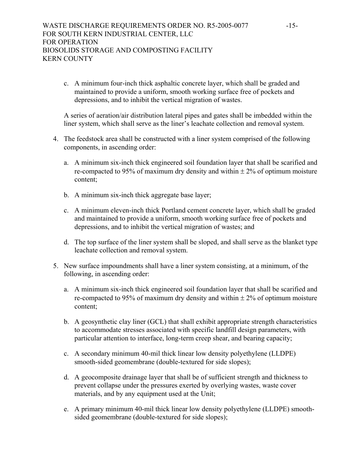c. A minimum four-inch thick asphaltic concrete layer, which shall be graded and maintained to provide a uniform, smooth working surface free of pockets and depressions, and to inhibit the vertical migration of wastes.

A series of aeration/air distribution lateral pipes and gates shall be imbedded within the liner system, which shall serve as the liner's leachate collection and removal system.

- 4. The feedstock area shall be constructed with a liner system comprised of the following components, in ascending order:
	- a. A minimum six-inch thick engineered soil foundation layer that shall be scarified and re-compacted to 95% of maximum dry density and within  $\pm$  2% of optimum moisture content;
	- b. A minimum six-inch thick aggregate base layer;
	- c. A minimum eleven-inch thick Portland cement concrete layer, which shall be graded and maintained to provide a uniform, smooth working surface free of pockets and depressions, and to inhibit the vertical migration of wastes; and
	- d. The top surface of the liner system shall be sloped, and shall serve as the blanket type leachate collection and removal system.
- 5. New surface impoundments shall have a liner system consisting, at a minimum, of the following, in ascending order:
	- a. A minimum six-inch thick engineered soil foundation layer that shall be scarified and re-compacted to 95% of maximum dry density and within  $\pm$  2% of optimum moisture content;
	- b. A geosynthetic clay liner (GCL) that shall exhibit appropriate strength characteristics to accommodate stresses associated with specific landfill design parameters, with particular attention to interface, long-term creep shear, and bearing capacity;
	- c. A secondary minimum 40-mil thick linear low density polyethylene (LLDPE) smooth-sided geomembrane (double-textured for side slopes);
	- d. A geocomposite drainage layer that shall be of sufficient strength and thickness to prevent collapse under the pressures exerted by overlying wastes, waste cover materials, and by any equipment used at the Unit;
	- e. A primary minimum 40-mil thick linear low density polyethylene (LLDPE) smoothsided geomembrane (double-textured for side slopes);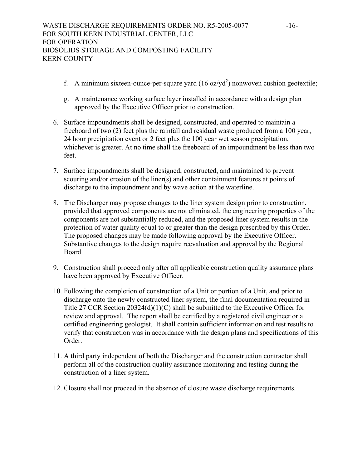- f. A minimum sixteen-ounce-per-square yard  $(16 \text{ oz/yd}^2)$  nonwoven cushion geotextile;
- g. A maintenance working surface layer installed in accordance with a design plan approved by the Executive Officer prior to construction.
- 6. Surface impoundments shall be designed, constructed, and operated to maintain a freeboard of two (2) feet plus the rainfall and residual waste produced from a 100 year, 24 hour precipitation event or 2 feet plus the 100 year wet season precipitation, whichever is greater. At no time shall the freeboard of an impoundment be less than two feet.
- 7. Surface impoundments shall be designed, constructed, and maintained to prevent scouring and/or erosion of the liner(s) and other containment features at points of discharge to the impoundment and by wave action at the waterline.
- 8. The Discharger may propose changes to the liner system design prior to construction, provided that approved components are not eliminated, the engineering properties of the components are not substantially reduced, and the proposed liner system results in the protection of water quality equal to or greater than the design prescribed by this Order. The proposed changes may be made following approval by the Executive Officer. Substantive changes to the design require reevaluation and approval by the Regional Board.
- 9. Construction shall proceed only after all applicable construction quality assurance plans have been approved by Executive Officer.
- 10. Following the completion of construction of a Unit or portion of a Unit, and prior to discharge onto the newly constructed liner system, the final documentation required in Title 27 CCR Section 20324(d)(1)(C) shall be submitted to the Executive Officer for review and approval. The report shall be certified by a registered civil engineer or a certified engineering geologist. It shall contain sufficient information and test results to verify that construction was in accordance with the design plans and specifications of this Order.
- 11. A third party independent of both the Discharger and the construction contractor shall perform all of the construction quality assurance monitoring and testing during the construction of a liner system.
- 12. Closure shall not proceed in the absence of closure waste discharge requirements.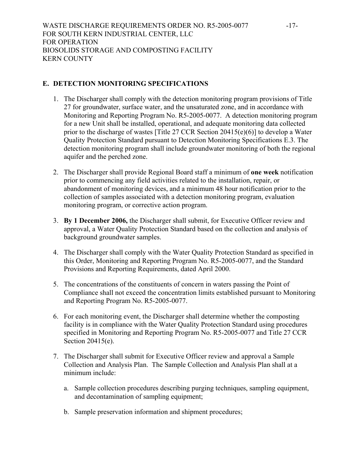# **E. DETECTION MONITORING SPECIFICATIONS**

- 1. The Discharger shall comply with the detection monitoring program provisions of Title 27 for groundwater, surface water, and the unsaturated zone, and in accordance with Monitoring and Reporting Program No. R5-2005-0077. A detection monitoring program for a new Unit shall be installed, operational, and adequate monitoring data collected prior to the discharge of wastes [Title 27 CCR Section 20415(e)(6)] to develop a Water Quality Protection Standard pursuant to Detection Monitoring Specifications E.3. The detection monitoring program shall include groundwater monitoring of both the regional aquifer and the perched zone.
- 2. The Discharger shall provide Regional Board staff a minimum of **one week** notification prior to commencing any field activities related to the installation, repair, or abandonment of monitoring devices, and a minimum 48 hour notification prior to the collection of samples associated with a detection monitoring program, evaluation monitoring program, or corrective action program.
- 3. **By 1 December 2006,** the Discharger shall submit, for Executive Officer review and approval, a Water Quality Protection Standard based on the collection and analysis of background groundwater samples.
- 4. The Discharger shall comply with the Water Quality Protection Standard as specified in this Order, Monitoring and Reporting Program No. R5-2005-0077, and the Standard Provisions and Reporting Requirements, dated April 2000.
- 5. The concentrations of the constituents of concern in waters passing the Point of Compliance shall not exceed the concentration limits established pursuant to Monitoring and Reporting Program No. R5-2005-0077.
- 6. For each monitoring event, the Discharger shall determine whether the composting facility is in compliance with the Water Quality Protection Standard using procedures specified in Monitoring and Reporting Program No. R5-2005-0077 and Title 27 CCR Section 20415(e).
- 7. The Discharger shall submit for Executive Officer review and approval a Sample Collection and Analysis Plan. The Sample Collection and Analysis Plan shall at a minimum include:
	- a. Sample collection procedures describing purging techniques, sampling equipment, and decontamination of sampling equipment;
	- b. Sample preservation information and shipment procedures;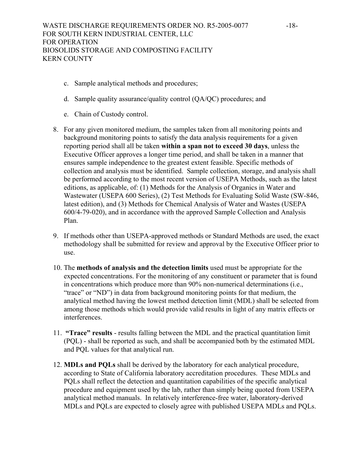- c. Sample analytical methods and procedures;
- d. Sample quality assurance/quality control (QA/QC) procedures; and
- e. Chain of Custody control.
- 8. For any given monitored medium, the samples taken from all monitoring points and background monitoring points to satisfy the data analysis requirements for a given reporting period shall all be taken **within a span not to exceed 30 days**, unless the Executive Officer approves a longer time period, and shall be taken in a manner that ensures sample independence to the greatest extent feasible. Specific methods of collection and analysis must be identified. Sample collection, storage, and analysis shall be performed according to the most recent version of USEPA Methods, such as the latest editions, as applicable, of: (1) Methods for the Analysis of Organics in Water and Wastewater (USEPA 600 Series), (2) Test Methods for Evaluating Solid Waste (SW-846, latest edition), and (3) Methods for Chemical Analysis of Water and Wastes (USEPA 600/4-79-020), and in accordance with the approved Sample Collection and Analysis Plan.
- 9. If methods other than USEPA-approved methods or Standard Methods are used, the exact methodology shall be submitted for review and approval by the Executive Officer prior to use.
- 10. The **methods of analysis and the detection limits** used must be appropriate for the expected concentrations. For the monitoring of any constituent or parameter that is found in concentrations which produce more than 90% non-numerical determinations (i.e., "trace" or "ND") in data from background monitoring points for that medium, the analytical method having the lowest method detection limit (MDL) shall be selected from among those methods which would provide valid results in light of any matrix effects or interferences.
- 11. **"Trace" results** results falling between the MDL and the practical quantitation limit (PQL) - shall be reported as such, and shall be accompanied both by the estimated MDL and PQL values for that analytical run.
- 12. **MDLs and PQLs** shall be derived by the laboratory for each analytical procedure, according to State of California laboratory accreditation procedures. These MDLs and PQLs shall reflect the detection and quantitation capabilities of the specific analytical procedure and equipment used by the lab, rather than simply being quoted from USEPA analytical method manuals. In relatively interference-free water, laboratory-derived MDLs and PQLs are expected to closely agree with published USEPA MDLs and PQLs.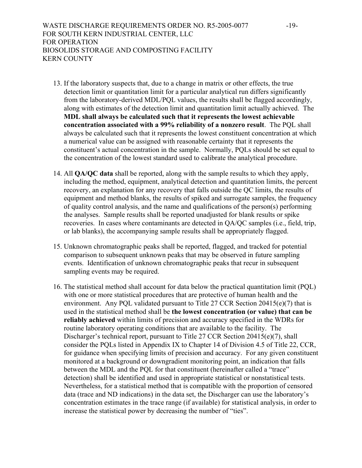- 13. If the laboratory suspects that, due to a change in matrix or other effects, the true detection limit or quantitation limit for a particular analytical run differs significantly from the laboratory-derived MDL/PQL values, the results shall be flagged accordingly, along with estimates of the detection limit and quantitation limit actually achieved. The **MDL shall always be calculated such that it represents the lowest achievable concentration associated with a 99% reliability of a nonzero result**. The PQL shall always be calculated such that it represents the lowest constituent concentration at which a numerical value can be assigned with reasonable certainty that it represents the constituent's actual concentration in the sample. Normally, PQLs should be set equal to the concentration of the lowest standard used to calibrate the analytical procedure.
- 14. All **QA/QC data** shall be reported, along with the sample results to which they apply, including the method, equipment, analytical detection and quantitation limits, the percent recovery, an explanation for any recovery that falls outside the QC limits, the results of equipment and method blanks, the results of spiked and surrogate samples, the frequency of quality control analysis, and the name and qualifications of the person(s) performing the analyses. Sample results shall be reported unadjusted for blank results or spike recoveries. In cases where contaminants are detected in QA/QC samples (i.e., field, trip, or lab blanks), the accompanying sample results shall be appropriately flagged.
- 15. Unknown chromatographic peaks shall be reported, flagged, and tracked for potential comparison to subsequent unknown peaks that may be observed in future sampling events. Identification of unknown chromatographic peaks that recur in subsequent sampling events may be required.
- 16. The statistical method shall account for data below the practical quantitation limit (PQL) with one or more statistical procedures that are protective of human health and the environment. Any PQL validated pursuant to Title 27 CCR Section 20415(e)(7) that is used in the statistical method shall be **the lowest concentration (or value) that can be reliably achieved** within limits of precision and accuracy specified in the WDRs for routine laboratory operating conditions that are available to the facility. The Discharger's technical report, pursuant to Title 27 CCR Section 20415(e)(7), shall consider the PQLs listed in Appendix IX to Chapter 14 of Division 4.5 of Title 22, CCR, for guidance when specifying limits of precision and accuracy. For any given constituent monitored at a background or downgradient monitoring point, an indication that falls between the MDL and the PQL for that constituent (hereinafter called a "trace" detection) shall be identified and used in appropriate statistical or nonstatistical tests. Nevertheless, for a statistical method that is compatible with the proportion of censored data (trace and ND indications) in the data set, the Discharger can use the laboratory's concentration estimates in the trace range (if available) for statistical analysis, in order to increase the statistical power by decreasing the number of "ties".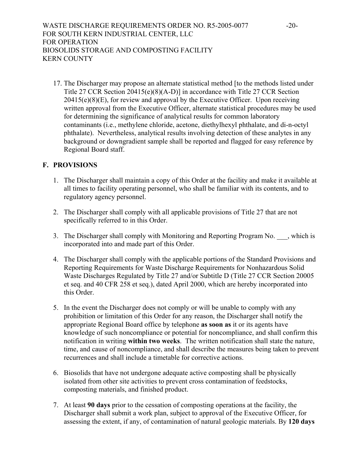17. The Discharger may propose an alternate statistical method [to the methods listed under Title 27 CCR Section 20415(e)(8)(A-D)] in accordance with Title 27 CCR Section  $20415(e)(8)(E)$ , for review and approval by the Executive Officer. Upon receiving written approval from the Executive Officer, alternate statistical procedures may be used for determining the significance of analytical results for common laboratory contaminants (i.e., methylene chloride, acetone, diethylhexyl phthalate, and di-n-octyl phthalate). Nevertheless, analytical results involving detection of these analytes in any background or downgradient sample shall be reported and flagged for easy reference by Regional Board staff.

# **F. PROVISIONS**

- 1. The Discharger shall maintain a copy of this Order at the facility and make it available at all times to facility operating personnel, who shall be familiar with its contents, and to regulatory agency personnel.
- 2. The Discharger shall comply with all applicable provisions of Title 27 that are not specifically referred to in this Order.
- 3. The Discharger shall comply with Monitoring and Reporting Program No.  $\blacksquare$ , which is incorporated into and made part of this Order.
- 4. The Discharger shall comply with the applicable portions of the Standard Provisions and Reporting Requirements for Waste Discharge Requirements for Nonhazardous Solid Waste Discharges Regulated by Title 27 and/or Subtitle D (Title 27 CCR Section 20005 et seq. and 40 CFR 258 et seq.), dated April 2000, which are hereby incorporated into this Order.
- 5. In the event the Discharger does not comply or will be unable to comply with any prohibition or limitation of this Order for any reason, the Discharger shall notify the appropriate Regional Board office by telephone **as soon as** it or its agents have knowledge of such noncompliance or potential for noncompliance, and shall confirm this notification in writing **within two weeks**. The written notification shall state the nature, time, and cause of noncompliance, and shall describe the measures being taken to prevent recurrences and shall include a timetable for corrective actions.
- 6. Biosolids that have not undergone adequate active composting shall be physically isolated from other site activities to prevent cross contamination of feedstocks, composting materials, and finished product.
- 7. At least **90 days** prior to the cessation of composting operations at the facility, the Discharger shall submit a work plan, subject to approval of the Executive Officer, for assessing the extent, if any, of contamination of natural geologic materials. By **120 days**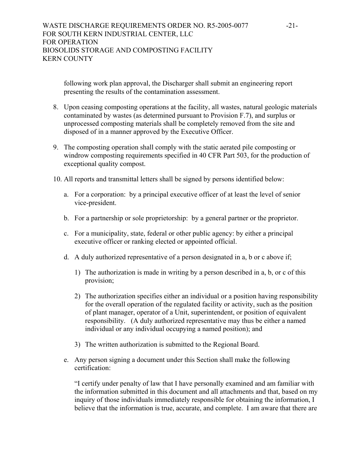following work plan approval, the Discharger shall submit an engineering report presenting the results of the contamination assessment.

- 8. Upon ceasing composting operations at the facility, all wastes, natural geologic materials contaminated by wastes (as determined pursuant to Provision F.7), and surplus or unprocessed composting materials shall be completely removed from the site and disposed of in a manner approved by the Executive Officer.
- 9. The composting operation shall comply with the static aerated pile composting or windrow composting requirements specified in 40 CFR Part 503, for the production of exceptional quality compost.
- 10. All reports and transmittal letters shall be signed by persons identified below:
	- a. For a corporation: by a principal executive officer of at least the level of senior vice-president.
	- b. For a partnership or sole proprietorship: by a general partner or the proprietor.
	- c. For a municipality, state, federal or other public agency: by either a principal executive officer or ranking elected or appointed official.
	- d. A duly authorized representative of a person designated in a, b or c above if;
		- 1) The authorization is made in writing by a person described in a, b, or c of this provision;
		- 2) The authorization specifies either an individual or a position having responsibility for the overall operation of the regulated facility or activity, such as the position of plant manager, operator of a Unit, superintendent, or position of equivalent responsibility. (A duly authorized representative may thus be either a named individual or any individual occupying a named position); and
		- 3) The written authorization is submitted to the Regional Board.
	- e. Any person signing a document under this Section shall make the following certification:

"I certify under penalty of law that I have personally examined and am familiar with the information submitted in this document and all attachments and that, based on my inquiry of those individuals immediately responsible for obtaining the information, I believe that the information is true, accurate, and complete. I am aware that there are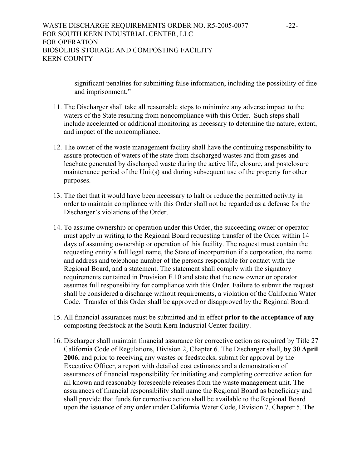significant penalties for submitting false information, including the possibility of fine and imprisonment."

- 11. The Discharger shall take all reasonable steps to minimize any adverse impact to the waters of the State resulting from noncompliance with this Order. Such steps shall include accelerated or additional monitoring as necessary to determine the nature, extent, and impact of the noncompliance.
- 12. The owner of the waste management facility shall have the continuing responsibility to assure protection of waters of the state from discharged wastes and from gases and leachate generated by discharged waste during the active life, closure, and postclosure maintenance period of the Unit(s) and during subsequent use of the property for other purposes.
- 13. The fact that it would have been necessary to halt or reduce the permitted activity in order to maintain compliance with this Order shall not be regarded as a defense for the Discharger's violations of the Order.
- 14. To assume ownership or operation under this Order, the succeeding owner or operator must apply in writing to the Regional Board requesting transfer of the Order within 14 days of assuming ownership or operation of this facility. The request must contain the requesting entity's full legal name, the State of incorporation if a corporation, the name and address and telephone number of the persons responsible for contact with the Regional Board, and a statement. The statement shall comply with the signatory requirements contained in Provision F.10 and state that the new owner or operator assumes full responsibility for compliance with this Order. Failure to submit the request shall be considered a discharge without requirements, a violation of the California Water Code. Transfer of this Order shall be approved or disapproved by the Regional Board.
- 15. All financial assurances must be submitted and in effect **prior to the acceptance of any** composting feedstock at the South Kern Industrial Center facility.
- 16. Discharger shall maintain financial assurance for corrective action as required by Title 27 California Code of Regulations, Division 2, Chapter 6. The Discharger shall, **by 30 April 2006**, and prior to receiving any wastes or feedstocks, submit for approval by the Executive Officer, a report with detailed cost estimates and a demonstration of assurances of financial responsibility for initiating and completing corrective action for all known and reasonably foreseeable releases from the waste management unit. The assurances of financial responsibility shall name the Regional Board as beneficiary and shall provide that funds for corrective action shall be available to the Regional Board upon the issuance of any order under California Water Code, Division 7, Chapter 5. The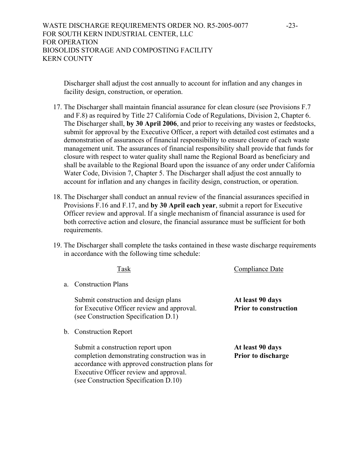Discharger shall adjust the cost annually to account for inflation and any changes in facility design, construction, or operation.

- 17. The Discharger shall maintain financial assurance for clean closure (see Provisions F.7 and F.8) as required by Title 27 California Code of Regulations, Division 2, Chapter 6. The Discharger shall, **by 30 April 2006**, and prior to receiving any wastes or feedstocks, submit for approval by the Executive Officer, a report with detailed cost estimates and a demonstration of assurances of financial responsibility to ensure closure of each waste management unit. The assurances of financial responsibility shall provide that funds for closure with respect to water quality shall name the Regional Board as beneficiary and shall be available to the Regional Board upon the issuance of any order under California Water Code, Division 7, Chapter 5. The Discharger shall adjust the cost annually to account for inflation and any changes in facility design, construction, or operation.
- 18. The Discharger shall conduct an annual review of the financial assurances specified in Provisions F.16 and F.17, and **by 30 April each year**, submit a report for Executive Officer review and approval. If a single mechanism of financial assurance is used for both corrective action and closure, the financial assurance must be sufficient for both requirements.
- 19. The Discharger shall complete the tasks contained in these waste discharge requirements in accordance with the following time schedule:

a. Construction Plans

Submit construction and design plans **At least 90 days**  for Executive Officer review and approval. **Prior to construction** (see Construction Specification D.1)

b. Construction Report

Submit a construction report upon **At least 90 days** completion demonstrating construction was in **Prior to discharge** accordance with approved construction plans for Executive Officer review and approval. (see Construction Specification D.10)

Task Compliance Date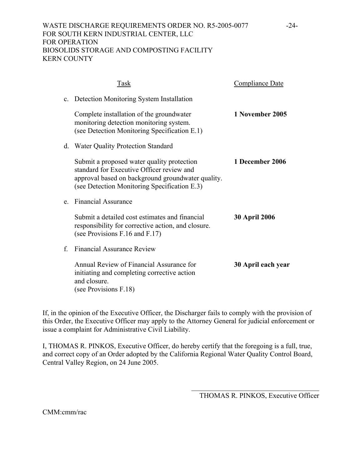# WASTE DISCHARGE REQUIREMENTS ORDER NO. R5-2005-0077 -24-FOR SOUTH KERN INDUSTRIAL CENTER, LLC FOR OPERATION BIOSOLIDS STORAGE AND COMPOSTING FACILITY KERN COUNTY

|         | Task                                                                                                                                                                                         | <b>Compliance Date</b> |
|---------|----------------------------------------------------------------------------------------------------------------------------------------------------------------------------------------------|------------------------|
|         | c. Detection Monitoring System Installation                                                                                                                                                  |                        |
|         | Complete installation of the groundwater<br>monitoring detection monitoring system.<br>(see Detection Monitoring Specification E.1)                                                          | 1 November 2005        |
| d.      | Water Quality Protection Standard                                                                                                                                                            |                        |
|         | Submit a proposed water quality protection<br>standard for Executive Officer review and<br>approval based on background groundwater quality.<br>(see Detection Monitoring Specification E.3) | 1 December 2006        |
| $e_{-}$ | <b>Financial Assurance</b>                                                                                                                                                                   |                        |
|         | Submit a detailed cost estimates and financial<br>responsibility for corrective action, and closure.<br>(see Provisions F.16 and F.17)                                                       | <b>30 April 2006</b>   |
| f       | <b>Financial Assurance Review</b>                                                                                                                                                            |                        |
|         | Annual Review of Financial Assurance for<br>initiating and completing corrective action<br>and closure.<br>(see Provisions F.18)                                                             | 30 April each year     |

If, in the opinion of the Executive Officer, the Discharger fails to comply with the provision of this Order, the Executive Officer may apply to the Attorney General for judicial enforcement or issue a complaint for Administrative Civil Liability.

I, THOMAS R. PINKOS, Executive Officer, do hereby certify that the foregoing is a full, true, and correct copy of an Order adopted by the California Regional Water Quality Control Board, Central Valley Region, on 24 June 2005.

> $\mathcal{L}_\text{max}$  , and the set of the set of the set of the set of the set of the set of the set of the set of the set of the set of the set of the set of the set of the set of the set of the set of the set of the set of the THOMAS R. PINKOS, Executive Officer

CMM:cmm/rac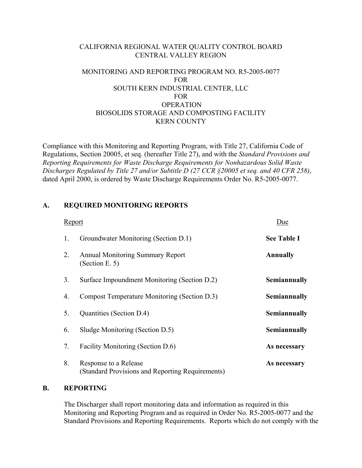# CALIFORNIA REGIONAL WATER QUALITY CONTROL BOARD CENTRAL VALLEY REGION

# MONITORING AND REPORTING PROGRAM NO. R5-2005-0077 FOR SOUTH KERN INDUSTRIAL CENTER, LLC FOR **OPERATION** BIOSOLIDS STORAGE AND COMPOSTING FACILITY KERN COUNTY

Compliance with this Monitoring and Reporting Program, with Title 27, California Code of Regulations, Section 20005, et seq. (hereafter Title 27), and with the *Standard Provisions and Reporting Requirements for Waste Discharge Requirements for Nonhazardous Solid Waste Discharges Regulated by Title 27 and/or Subtitle D (27 CCR §20005 et seq. and 40 CFR 258)*, dated April 2000, is ordered by Waste Discharge Requirements Order No. R5-2005-0077.

# **A. REQUIRED MONITORING REPORTS**

| Report |                                                                           | Due                |
|--------|---------------------------------------------------------------------------|--------------------|
| 1.     | Groundwater Monitoring (Section D.1)                                      | <b>See Table I</b> |
| 2.     | <b>Annual Monitoring Summary Report</b><br>(Section E. 5)                 | <b>Annually</b>    |
| 3.     | Surface Impoundment Monitoring (Section D.2)                              | Semiannually       |
| 4.     | Compost Temperature Monitoring (Section D.3)                              | Semiannually       |
| 5.     | Quantities (Section D.4)                                                  | Semiannually       |
| 6.     | Sludge Monitoring (Section D.5)                                           | Semiannually       |
| 7.     | Facility Monitoring (Section D.6)                                         | As necessary       |
| 8.     | Response to a Release<br>(Standard Provisions and Reporting Requirements) | As necessary       |

### **B. REPORTING**

The Discharger shall report monitoring data and information as required in this Monitoring and Reporting Program and as required in Order No. R5-2005-0077 and the Standard Provisions and Reporting Requirements. Reports which do not comply with the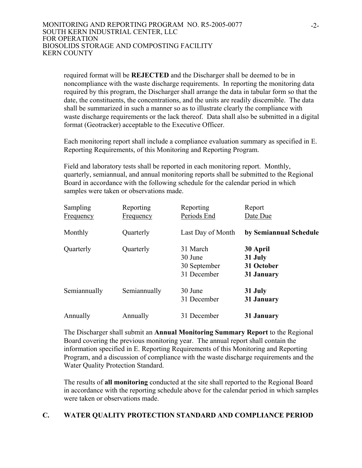required format will be **REJECTED** and the Discharger shall be deemed to be in noncompliance with the waste discharge requirements. In reporting the monitoring data required by this program, the Discharger shall arrange the data in tabular form so that the date, the constituents, the concentrations, and the units are readily discernible. The data shall be summarized in such a manner so as to illustrate clearly the compliance with waste discharge requirements or the lack thereof. Data shall also be submitted in a digital format (Geotracker) acceptable to the Executive Officer.

Each monitoring report shall include a compliance evaluation summary as specified in E. Reporting Requirements, of this Monitoring and Reporting Program.

Field and laboratory tests shall be reported in each monitoring report. Monthly, quarterly, semiannual, and annual monitoring reports shall be submitted to the Regional Board in accordance with the following schedule for the calendar period in which samples were taken or observations made.

| <b>Sampling</b><br>Frequency | Reporting<br>Frequency | Reporting<br>Periods End                           | Report<br>Date Due                              |
|------------------------------|------------------------|----------------------------------------------------|-------------------------------------------------|
| Monthly                      | Quarterly              | Last Day of Month                                  | by Semiannual Schedule                          |
| Quarterly                    | Quarterly              | 31 March<br>30 June<br>30 September<br>31 December | 30 April<br>31 July<br>31 October<br>31 January |
| Semiannually                 | Semiannually           | 30 June<br>31 December                             | 31 July<br>31 January                           |
| Annually                     | Annually               | 31 December                                        | 31 January                                      |

The Discharger shall submit an **Annual Monitoring Summary Report** to the Regional Board covering the previous monitoring year. The annual report shall contain the information specified in E. Reporting Requirements of this Monitoring and Reporting Program, and a discussion of compliance with the waste discharge requirements and the Water Quality Protection Standard.

The results of **all monitoring** conducted at the site shall reported to the Regional Board in accordance with the reporting schedule above for the calendar period in which samples were taken or observations made.

# **C. WATER QUALITY PROTECTION STANDARD AND COMPLIANCE PERIOD**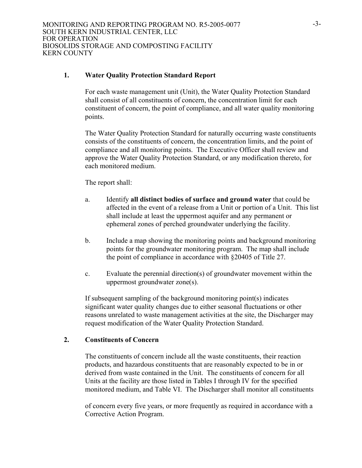### **1. Water Quality Protection Standard Report**

 For each waste management unit (Unit), the Water Quality Protection Standard shall consist of all constituents of concern, the concentration limit for each constituent of concern, the point of compliance, and all water quality monitoring points.

The Water Quality Protection Standard for naturally occurring waste constituents consists of the constituents of concern, the concentration limits, and the point of compliance and all monitoring points. The Executive Officer shall review and approve the Water Quality Protection Standard, or any modification thereto, for each monitored medium.

The report shall:

- a. Identify **all distinct bodies of surface and ground water** that could be affected in the event of a release from a Unit or portion of a Unit. This list shall include at least the uppermost aquifer and any permanent or ephemeral zones of perched groundwater underlying the facility.
- b. Include a map showing the monitoring points and background monitoring points for the groundwater monitoring program. The map shall include the point of compliance in accordance with §20405 of Title 27.
- c. Evaluate the perennial direction(s) of groundwater movement within the uppermost groundwater zone(s).

If subsequent sampling of the background monitoring point(s) indicates significant water quality changes due to either seasonal fluctuations or other reasons unrelated to waste management activities at the site, the Discharger may request modification of the Water Quality Protection Standard.

### **2. Constituents of Concern**

 The constituents of concern include all the waste constituents, their reaction products, and hazardous constituents that are reasonably expected to be in or derived from waste contained in the Unit. The constituents of concern for all Units at the facility are those listed in Tables I through IV for the specified monitored medium, and Table VI. The Discharger shall monitor all constituents

of concern every five years, or more frequently as required in accordance with a Corrective Action Program.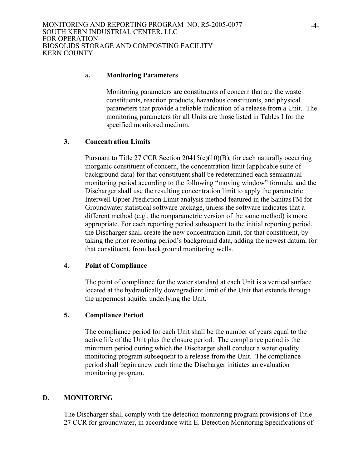#### a**. Monitoring Parameters**

 Monitoring parameters are constituents of concern that are the waste constituents, reaction products, hazardous constituents, and physical parameters that provide a reliable indication of a release from a Unit. The monitoring parameters for all Units are those listed in Tables I for the specified monitored medium.

### **3. Concentration Limits**

Pursuant to Title 27 CCR Section  $20415(e)(10)(B)$ , for each naturally occurring inorganic constituent of concern, the concentration limit (applicable suite of background data) for that constituent shall be redetermined each semiannual monitoring period according to the following "moving window" formula, and the Discharger shall use the resulting concentration limit to apply the parametric Interwell Upper Prediction Limit analysis method featured in the SanitasTM for Groundwater statistical software package, unless the software indicates that a different method (e.g., the nonparametric version of the same method) is more appropriate. For each reporting period subsequent to the initial reporting period, the Discharger shall create the new concentration limit, for that constituent, by taking the prior reporting period's background data, adding the newest datum, for that constituent, from background monitoring wells.

### **4. Point of Compliance**

 The point of compliance for the water standard at each Unit is a vertical surface located at the hydraulically downgradient limit of the Unit that extends through the uppermost aquifer underlying the Unit.

### **5. Compliance Period**

The compliance period for each Unit shall be the number of years equal to the active life of the Unit plus the closure period. The compliance period is the minimum period during which the Discharger shall conduct a water quality monitoring program subsequent to a release from the Unit. The compliance period shall begin anew each time the Discharger initiates an evaluation monitoring program.

### **D. MONITORING**

The Discharger shall comply with the detection monitoring program provisions of Title 27 CCR for groundwater, in accordance with E. Detection Monitoring Specifications of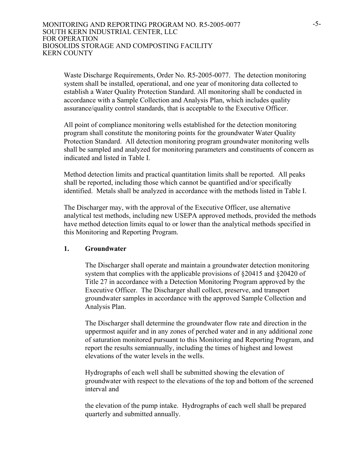Waste Discharge Requirements, Order No. R5-2005-0077. The detection monitoring system shall be installed, operational, and one year of monitoring data collected to establish a Water Quality Protection Standard. All monitoring shall be conducted in accordance with a Sample Collection and Analysis Plan, which includes quality assurance/quality control standards, that is acceptable to the Executive Officer.

All point of compliance monitoring wells established for the detection monitoring program shall constitute the monitoring points for the groundwater Water Quality Protection Standard. All detection monitoring program groundwater monitoring wells shall be sampled and analyzed for monitoring parameters and constituents of concern as indicated and listed in Table I.

Method detection limits and practical quantitation limits shall be reported. All peaks shall be reported, including those which cannot be quantified and/or specifically identified. Metals shall be analyzed in accordance with the methods listed in Table I.

The Discharger may, with the approval of the Executive Officer, use alternative analytical test methods, including new USEPA approved methods, provided the methods have method detection limits equal to or lower than the analytical methods specified in this Monitoring and Reporting Program.

### **1. Groundwater**

The Discharger shall operate and maintain a groundwater detection monitoring system that complies with the applicable provisions of §20415 and §20420 of Title 27 in accordance with a Detection Monitoring Program approved by the Executive Officer. The Discharger shall collect, preserve, and transport groundwater samples in accordance with the approved Sample Collection and Analysis Plan.

The Discharger shall determine the groundwater flow rate and direction in the uppermost aquifer and in any zones of perched water and in any additional zone of saturation monitored pursuant to this Monitoring and Reporting Program, and report the results semiannually, including the times of highest and lowest elevations of the water levels in the wells.

Hydrographs of each well shall be submitted showing the elevation of groundwater with respect to the elevations of the top and bottom of the screened interval and

the elevation of the pump intake. Hydrographs of each well shall be prepared quarterly and submitted annually.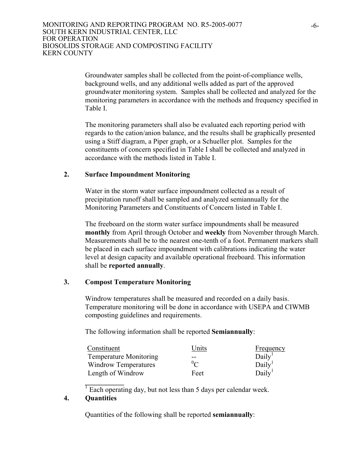Groundwater samples shall be collected from the point-of-compliance wells, background wells, and any additional wells added as part of the approved groundwater monitoring system. Samples shall be collected and analyzed for the monitoring parameters in accordance with the methods and frequency specified in Table I.

The monitoring parameters shall also be evaluated each reporting period with regards to the cation/anion balance, and the results shall be graphically presented using a Stiff diagram, a Piper graph, or a Schueller plot. Samples for the constituents of concern specified in Table I shall be collected and analyzed in accordance with the methods listed in Table I.

## **2. Surface Impoundment Monitoring**

Water in the storm water surface impoundment collected as a result of precipitation runoff shall be sampled and analyzed semiannually for the Monitoring Parameters and Constituents of Concern listed in Table I.

The freeboard on the storm water surface impoundments shall be measured **monthly** from April through October and **weekly** from November through March. Measurements shall be to the nearest one-tenth of a foot. Permanent markers shall be placed in each surface impoundment with calibrations indicating the water level at design capacity and available operational freeboard. This information shall be **reported annually**.

# **3. Compost Temperature Monitoring**

Windrow temperatures shall be measured and recorded on a daily basis. Temperature monitoring will be done in accordance with USEPA and CIWMB composting guidelines and requirements.

The following information shall be reported **Semiannually**:

| Constituent                   | Units      | Frequency          |
|-------------------------------|------------|--------------------|
| <b>Temperature Monitoring</b> | $- -$      | Daily <sup>1</sup> |
| Windrow Temperatures          | $\rm ^0$ C | Daily <sup>1</sup> |
| Length of Windrow             | Feet       | Daily <sup>1</sup> |

 $\frac{1}{1}$  Each operating day, but not less than 5 days per calendar week.

# **4. Quantities**

**\_\_\_\_\_\_\_\_\_\_\_** 

Quantities of the following shall be reported **semiannually**: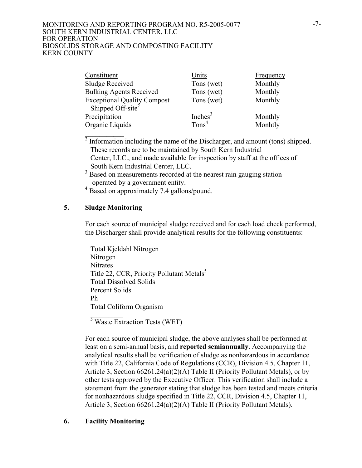| Constituent                                                  | Units             | <b>Frequency</b> |
|--------------------------------------------------------------|-------------------|------------------|
| <b>Sludge Received</b>                                       | Tons (wet)        | Monthly          |
| <b>Bulking Agents Received</b>                               | Tons (wet)        | Monthly          |
| Exceptional Quality Compost<br>Shipped Off-site <sup>2</sup> | Tons (wet)        | Monthly          |
|                                                              |                   |                  |
| Precipitation                                                | Inche $s^3$       | Monthly          |
| Organic Liquids                                              | Tons <sup>4</sup> | Monhtly          |

 $\frac{2}{3}$  Information including the name of the Discharger, and amount (tons) shipped. These records are to be maintained by South Kern Industrial Center, LLC., and made available for inspection by staff at the offices of South Kern Industrial Center, LLC.

3 Based on measurements recorded at the nearest rain gauging station operated by a government entity.

4 Based on approximately 7.4 gallons/pound.

## **5. Sludge Monitoring**

**\_\_\_\_\_\_\_\_\_\_\_**

For each source of municipal sludge received and for each load check performed, the Discharger shall provide analytical results for the following constituents:

Total Kjeldahl Nitrogen Nitrogen Nitrates Title 22, CCR, Priority Pollutant Metals<sup>5</sup> Total Dissolved Solids Percent Solids Ph Total Coliform Organism

<sup>5</sup> Waste Extraction Tests (WET)

For each source of municipal sludge, the above analyses shall be performed at least on a semi-annual basis, and **reported semiannually**. Accompanying the analytical results shall be verification of sludge as nonhazardous in accordance with Title 22, California Code of Regulations (CCR), Division 4.5, Chapter 11, Article 3, Section 66261.24(a)(2)(A) Table II (Priority Pollutant Metals), or by other tests approved by the Executive Officer. This verification shall include a statement from the generator stating that sludge has been tested and meets criteria for nonhazardous sludge specified in Title 22, CCR, Division 4.5, Chapter 11, Article 3, Section 66261.24(a)(2)(A) Table II (Priority Pollutant Metals).

# **6. Facility Monitoring**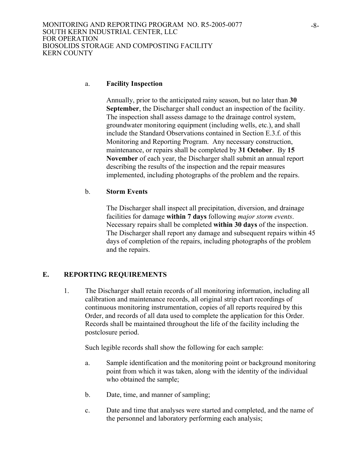#### a. **Facility Inspection**

Annually, prior to the anticipated rainy season, but no later than **30 September**, the Discharger shall conduct an inspection of the facility. The inspection shall assess damage to the drainage control system, groundwater monitoring equipment (including wells, etc.), and shall include the Standard Observations contained in Section E.3.f. of this Monitoring and Reporting Program. Any necessary construction, maintenance, or repairs shall be completed by **31 October**. By **15 November** of each year, the Discharger shall submit an annual report describing the results of the inspection and the repair measures implemented, including photographs of the problem and the repairs.

#### b. **Storm Events**

The Discharger shall inspect all precipitation, diversion, and drainage facilities for damage **within 7 days** following *major storm events*. Necessary repairs shall be completed **within 30 days** of the inspection. The Discharger shall report any damage and subsequent repairs within 45 days of completion of the repairs, including photographs of the problem and the repairs.

## **E. REPORTING REQUIREMENTS**

1. The Discharger shall retain records of all monitoring information, including all calibration and maintenance records, all original strip chart recordings of continuous monitoring instrumentation, copies of all reports required by this Order, and records of all data used to complete the application for this Order. Records shall be maintained throughout the life of the facility including the postclosure period.

Such legible records shall show the following for each sample:

- a. Sample identification and the monitoring point or background monitoring point from which it was taken, along with the identity of the individual who obtained the sample;
- b. Date, time, and manner of sampling;
- c. Date and time that analyses were started and completed, and the name of the personnel and laboratory performing each analysis;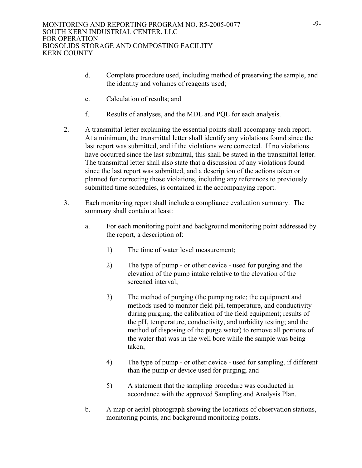- d. Complete procedure used, including method of preserving the sample, and the identity and volumes of reagents used;
- e. Calculation of results; and
- f. Results of analyses, and the MDL and PQL for each analysis.
- 2. A transmittal letter explaining the essential points shall accompany each report. At a minimum, the transmittal letter shall identify any violations found since the last report was submitted, and if the violations were corrected. If no violations have occurred since the last submittal, this shall be stated in the transmittal letter. The transmittal letter shall also state that a discussion of any violations found since the last report was submitted, and a description of the actions taken or planned for correcting those violations, including any references to previously submitted time schedules, is contained in the accompanying report.
- 3. Each monitoring report shall include a compliance evaluation summary. The summary shall contain at least:
	- a. For each monitoring point and background monitoring point addressed by the report, a description of:
		- 1) The time of water level measurement;
		- 2) The type of pump or other device used for purging and the elevation of the pump intake relative to the elevation of the screened interval;
		- 3) The method of purging (the pumping rate; the equipment and methods used to monitor field pH, temperature, and conductivity during purging; the calibration of the field equipment; results of the pH, temperature, conductivity, and turbidity testing; and the method of disposing of the purge water) to remove all portions of the water that was in the well bore while the sample was being taken;
		- 4) The type of pump or other device used for sampling, if different than the pump or device used for purging; and
		- 5) A statement that the sampling procedure was conducted in accordance with the approved Sampling and Analysis Plan.
	- b. A map or aerial photograph showing the locations of observation stations, monitoring points, and background monitoring points.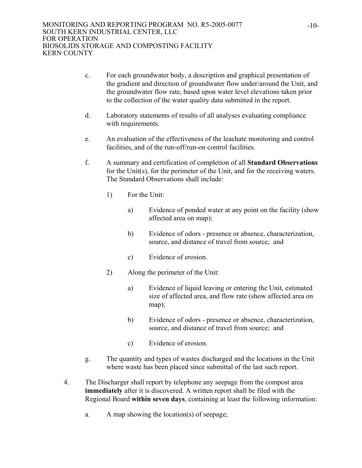- c. For each groundwater body, a description and graphical presentation of the gradient and direction of groundwater flow under/around the Unit, and the groundwater flow rate, based upon water level elevations taken prior to the collection of the water quality data submitted in the report.
- d. Laboratory statements of results of all analyses evaluating compliance with requirements.
- e. An evaluation of the effectiveness of the leachate monitoring and control facilities, and of the run-off/run-on control facilities.
- f. A summary and certification of completion of all **Standard Observations** for the Unit(s), for the perimeter of the Unit, and for the receiving waters. The Standard Observations shall include:
	- 1) For the Unit:
		- a) Evidence of ponded water at any point on the facility (show affected area on map);
		- b) Evidence of odors presence or absence, characterization, source, and distance of travel from source; and
		- c) Evidence of erosion.
	- 2) Along the perimeter of the Unit:
		- a) Evidence of liquid leaving or entering the Unit, estimated size of affected area, and flow rate (show affected area on map);
		- b) Evidence of odors presence or absence, characterization, source, and distance of travel from source; and
		- c) Evidence of erosion.
- g. The quantity and types of wastes discharged and the locations in the Unit where waste has been placed since submittal of the last such report.
- 4. The Discharger shall report by telephone any seepage from the compost area **immediately** after it is discovered. A written report shall be filed with the Regional Board **within seven days**, containing at least the following information:
	- a. A map showing the location(s) of seepage;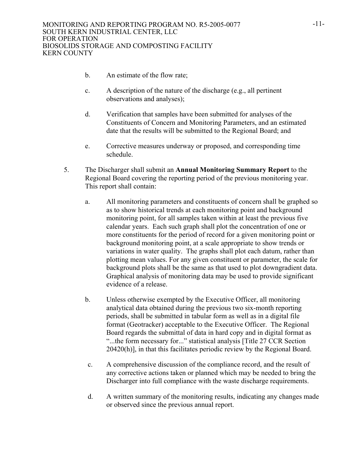- b. An estimate of the flow rate;
- c. A description of the nature of the discharge (e.g., all pertinent observations and analyses);
- d. Verification that samples have been submitted for analyses of the Constituents of Concern and Monitoring Parameters, and an estimated date that the results will be submitted to the Regional Board; and
- e. Corrective measures underway or proposed, and corresponding time schedule.
- 5. The Discharger shall submit an **Annual Monitoring Summary Report** to the Regional Board covering the reporting period of the previous monitoring year. This report shall contain:
	- a. All monitoring parameters and constituents of concern shall be graphed so as to show historical trends at each monitoring point and background monitoring point, for all samples taken within at least the previous five calendar years. Each such graph shall plot the concentration of one or more constituents for the period of record for a given monitoring point or background monitoring point, at a scale appropriate to show trends or variations in water quality. The graphs shall plot each datum, rather than plotting mean values. For any given constituent or parameter, the scale for background plots shall be the same as that used to plot downgradient data. Graphical analysis of monitoring data may be used to provide significant evidence of a release.
	- b. Unless otherwise exempted by the Executive Officer, all monitoring analytical data obtained during the previous two six-month reporting periods, shall be submitted in tabular form as well as in a digital file format (Geotracker) acceptable to the Executive Officer. The Regional Board regards the submittal of data in hard copy and in digital format as "...the form necessary for..." statistical analysis [Title 27 CCR Section 20420(h)], in that this facilitates periodic review by the Regional Board.
	- c. A comprehensive discussion of the compliance record, and the result of any corrective actions taken or planned which may be needed to bring the Discharger into full compliance with the waste discharge requirements.
	- d. A written summary of the monitoring results, indicating any changes made or observed since the previous annual report.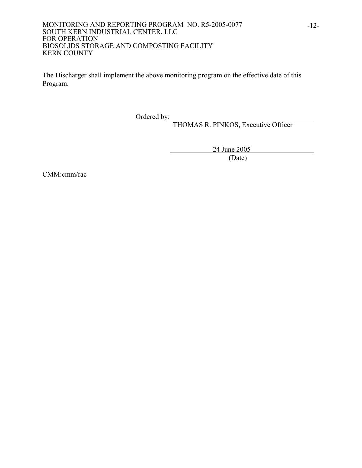The Discharger shall implement the above monitoring program on the effective date of this Program.

Ordered by:

THOMAS R. PINKOS, Executive Officer

24 June 2005<br>(Date)

(Date)

CMM:cmm/rac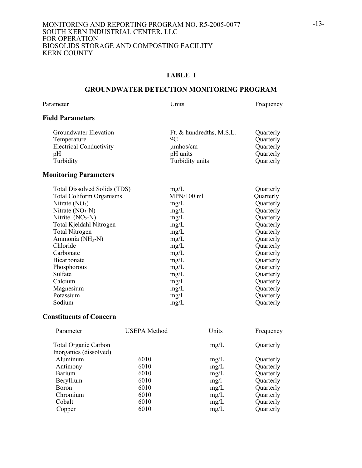### **TABLE I**

### **GROUNDWATER DETECTION MONITORING PROGRAM**

Parameter Units Erequency

# **Field Parameters**

| Groundwater Elevation          | Ft. & hundredths, M.S.L. | Quarterly |
|--------------------------------|--------------------------|-----------|
| Temperature                    | 0 <sup>C</sup>           | Quarterly |
| <b>Electrical Conductivity</b> | $\mu$ mhos/cm            | Quarterly |
| pΗ                             | pH units                 | Quarterly |
| Turbidity                      | Turbidity units          | Quarterly |

#### **Monitoring Parameters**

| Total Dissolved Solids (TDS)    | mg/L         | Quarterly |
|---------------------------------|--------------|-----------|
| <b>Total Coliform Organisms</b> | $MPN/100$ ml | Quarterly |
| Nitrate $(NO3)$                 | mg/L         | Quarterly |
| Nitrate $(NO3-N)$               | mg/L         | Quarterly |
| Nitrite $(NO2-N)$               | mg/L         | Quarterly |
| Total Kjeldahl Nitrogen         | mg/L         | Quarterly |
| <b>Total Nitrogen</b>           | mg/L         | Quarterly |
| Ammonia (NH <sub>3</sub> -N)    | mg/L         | Quarterly |
| Chloride                        | mg/L         | Quarterly |
| Carbonate                       | mg/L         | Quarterly |
| Bicarbonate                     | mg/L         | Quarterly |
| Phosphorous                     | mg/L         | Quarterly |
| Sulfate                         | mg/L         | Quarterly |
| Calcium                         | mg/L         | Quarterly |
| Magnesium                       | mg/L         | Quarterly |
| Potassium                       | mg/L         | Quarterly |
| Sodium                          | mg/L         | Quarterly |

## **Constituents of Concern**

| Parameter                   | <b>USEPA</b> Method | Units | Frequency |
|-----------------------------|---------------------|-------|-----------|
| <b>Total Organic Carbon</b> |                     | mg/L  | Quarterly |
| Inorganics (dissolved)      |                     |       |           |
| Aluminum                    | 6010                | mg/L  | Quarterly |
| Antimony                    | 6010                | mg/L  | Quarterly |
| <b>Barium</b>               | 6010                | mg/L  | Quarterly |
| Beryllium                   | 6010                | mg/l  | Quarterly |
| Boron                       | 6010                | mg/L  | Quarterly |
| Chromium                    | 6010                | mg/L  | Quarterly |
| Cobalt                      | 6010                | mg/L  | Quarterly |
| Copper                      | 6010                | mg/L  | Quarterly |
|                             |                     |       |           |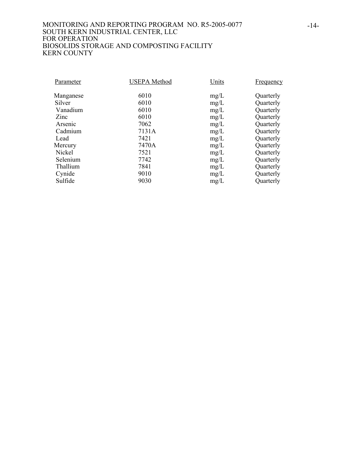| Parameter | <b>USEPA</b> Method | Units | Frequency |
|-----------|---------------------|-------|-----------|
| Manganese | 6010                | mg/L  | Quarterly |
| Silver    | 6010                | mg/L  | Quarterly |
| Vanadium  | 6010                | mg/L  | Quarterly |
| Zinc      | 6010                | mg/L  | Quarterly |
| Arsenic   | 7062                | mg/L  | Quarterly |
| Cadmium   | 7131A               | mg/L  | Quarterly |
| Lead      | 7421                | mg/L  | Quarterly |
| Mercury   | 7470A               | mg/L  | Quarterly |
| Nickel    | 7521                | mg/L  | Quarterly |
| Selenium  | 7742                | mg/L  | Quarterly |
| Thallium  | 7841                | mg/L  | Quarterly |
| Cynide    | 9010                | mg/L  | Quarterly |
| Sulfide   | 9030                | mg/L  | Quarterly |
|           |                     |       |           |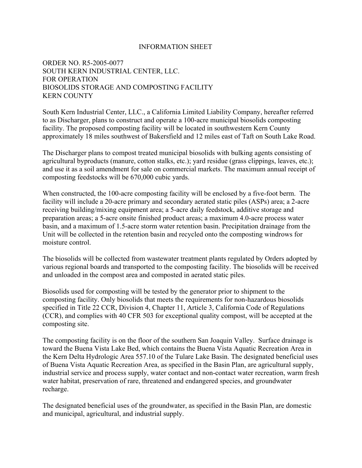#### INFORMATION SHEET

## ORDER NO. R5-2005-0077 SOUTH KERN INDUSTRIAL CENTER, LLC. FOR OPERATION BIOSOLIDS STORAGE AND COMPOSTING FACILITY KERN COUNTY

South Kern Industrial Center, LLC., a California Limited Liability Company, hereafter referred to as Discharger, plans to construct and operate a 100-acre municipal biosolids composting facility. The proposed composting facility will be located in southwestern Kern County approximately 18 miles southwest of Bakersfield and 12 miles east of Taft on South Lake Road.

The Discharger plans to compost treated municipal biosolids with bulking agents consisting of agricultural byproducts (manure, cotton stalks, etc.); yard residue (grass clippings, leaves, etc.); and use it as a soil amendment for sale on commercial markets. The maximum annual receipt of composting feedstocks will be 670,000 cubic yards.

When constructed, the 100-acre composting facility will be enclosed by a five-foot berm. The facility will include a 20-acre primary and secondary aerated static piles (ASPs) area; a 2-acre receiving building/mixing equipment area; a 5-acre daily feedstock, additive storage and preparation areas; a 5-acre onsite finished product areas; a maximum 4.0-acre process water basin, and a maximum of 1.5-acre storm water retention basin. Precipitation drainage from the Unit will be collected in the retention basin and recycled onto the composting windrows for moisture control.

The biosolids will be collected from wastewater treatment plants regulated by Orders adopted by various regional boards and transported to the composting facility. The biosolids will be received and unloaded in the compost area and composted in aerated static piles.

Biosolids used for composting will be tested by the generator prior to shipment to the composting facility. Only biosolids that meets the requirements for non-hazardous biosolids specified in Title 22 CCR, Division 4, Chapter 11, Article 3, California Code of Regulations (CCR), and complies with 40 CFR 503 for exceptional quality compost, will be accepted at the composting site.

The composting facility is on the floor of the southern San Joaquin Valley. Surface drainage is toward the Buena Vista Lake Bed, which contains the Buena Vista Aquatic Recreation Area in the Kern Delta Hydrologic Area 557.10 of the Tulare Lake Basin. The designated beneficial uses of Buena Vista Aquatic Recreation Area, as specified in the Basin Plan, are agricultural supply, industrial service and process supply, water contact and non-contact water recreation, warm fresh water habitat, preservation of rare, threatened and endangered species, and groundwater recharge.

The designated beneficial uses of the groundwater, as specified in the Basin Plan, are domestic and municipal, agricultural, and industrial supply.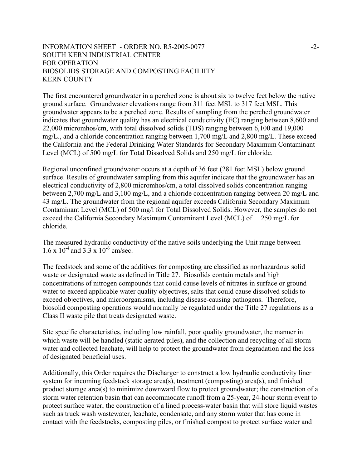### INFORMATION SHEET - ORDER NO. R5-2005-0077 SOUTH KERN INDUSTRIAL CENTER FOR OPERATION BIOSOLIDS STORAGE AND COMPOSTING FACILIITY KERN COUNTY

The first encountered groundwater in a perched zone is about six to twelve feet below the native ground surface. Groundwater elevations range from 311 feet MSL to 317 feet MSL. This groundwater appears to be a perched zone. Results of sampling from the perched groundwater indicates that groundwater quality has an electrical conductivity (EC) ranging between 8,600 and 22,000 micromhos/cm, with total dissolved solids (TDS) ranging between 6,100 and 19,000 mg/L., and a chloride concentration ranging between 1,700 mg/L and 2,800 mg/L. These exceed the California and the Federal Drinking Water Standards for Secondary Maximum Contaminant Level (MCL) of 500 mg/L for Total Dissolved Solids and 250 mg/L for chloride.

Regional unconfined groundwater occurs at a depth of 36 feet (281 feet MSL) below ground surface. Results of groundwater sampling from this aquifer indicate that the groundwater has an electrical conductivity of 2,800 micromhos/cm, a total dissolved solids concentration ranging between 2,700 mg/L and 3,100 mg/L, and a chloride concentration ranging between 20 mg/L and 43 mg/L. The groundwater from the regional aquifer exceeds California Secondary Maximum Contaminant Level (MCL) of 500 mg/l for Total Dissolved Solids. However, the samples do not exceed the California Secondary Maximum Contaminant Level (MCL) of 250 mg/L for chloride.

The measured hydraulic conductivity of the native soils underlying the Unit range between  $1.6 \times 10^{-4}$  and  $3.3 \times 10^{-6}$  cm/sec.

The feedstock and some of the additives for composting are classified as nonhazardous solid waste or designated waste as defined in Title 27. Biosolids contain metals and high concentrations of nitrogen compounds that could cause levels of nitrates in surface or ground water to exceed applicable water quality objectives, salts that could cause dissolved solids to exceed objectives, and microorganisms, including disease-causing pathogens. Therefore, biosolid composting operations would normally be regulated under the Title 27 regulations as a Class II waste pile that treats designated waste.

Site specific characteristics, including low rainfall, poor quality groundwater, the manner in which waste will be handled (static aerated piles), and the collection and recycling of all storm water and collected leachate, will help to protect the groundwater from degradation and the loss of designated beneficial uses.

Additionally, this Order requires the Discharger to construct a low hydraulic conductivity liner system for incoming feedstock storage area(s), treatment (composting) area(s), and finished product storage area(s) to minimize downward flow to protect groundwater; the construction of a storm water retention basin that can accommodate runoff from a 25-year, 24-hour storm event to protect surface water; the construction of a lined process-water basin that will store liquid wastes such as truck wash wastewater, leachate, condensate, and any storm water that has come in contact with the feedstocks, composting piles, or finished compost to protect surface water and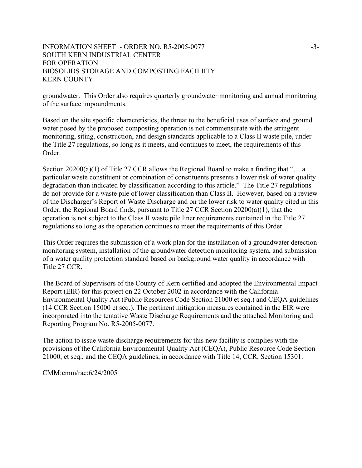### INFORMATION SHEET - ORDER NO. R5-2005-0077 SOUTH KERN INDUSTRIAL CENTER FOR OPERATION BIOSOLIDS STORAGE AND COMPOSTING FACILIITY KERN COUNTY

groundwater. This Order also requires quarterly groundwater monitoring and annual monitoring of the surface impoundments.

Based on the site specific characteristics, the threat to the beneficial uses of surface and ground water posed by the proposed composting operation is not commensurate with the stringent monitoring, siting, construction, and design standards applicable to a Class II waste pile, under the Title 27 regulations, so long as it meets, and continues to meet, the requirements of this Order.

Section  $20200(a)(1)$  of Title 27 CCR allows the Regional Board to make a finding that "... a particular waste constituent or combination of constituents presents a lower risk of water quality degradation than indicated by classification according to this article." The Title 27 regulations do not provide for a waste pile of lower classification than Class II. However, based on a review of the Discharger's Report of Waste Discharge and on the lower risk to water quality cited in this Order, the Regional Board finds, pursuant to Title 27 CCR Section 20200(a)(1), that the operation is not subject to the Class II waste pile liner requirements contained in the Title 27 regulations so long as the operation continues to meet the requirements of this Order.

This Order requires the submission of a work plan for the installation of a groundwater detection monitoring system, installation of the groundwater detection monitoring system, and submission of a water quality protection standard based on background water quality in accordance with Title 27 CCR.

The Board of Supervisors of the County of Kern certified and adopted the Environmental Impact Report (EIR) for this project on 22 October 2002 in accordance with the California Environmental Quality Act (Public Resources Code Section 21000 et seq.) and CEQA guidelines (14 CCR Section 15000 et seq.). The pertinent mitigation measures contained in the EIR were incorporated into the tentative Waste Discharge Requirements and the attached Monitoring and Reporting Program No. R5-2005-0077.

The action to issue waste discharge requirements for this new facility is complies with the provisions of the California Environmental Quality Act (CEQA), Public Resource Code Section 21000, et seq., and the CEQA guidelines, in accordance with Title 14, CCR, Section 15301.

CMM:cmm/rac:6/24/2005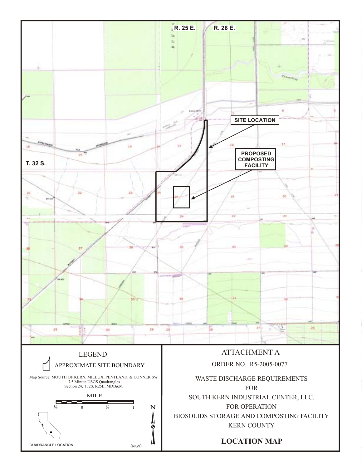